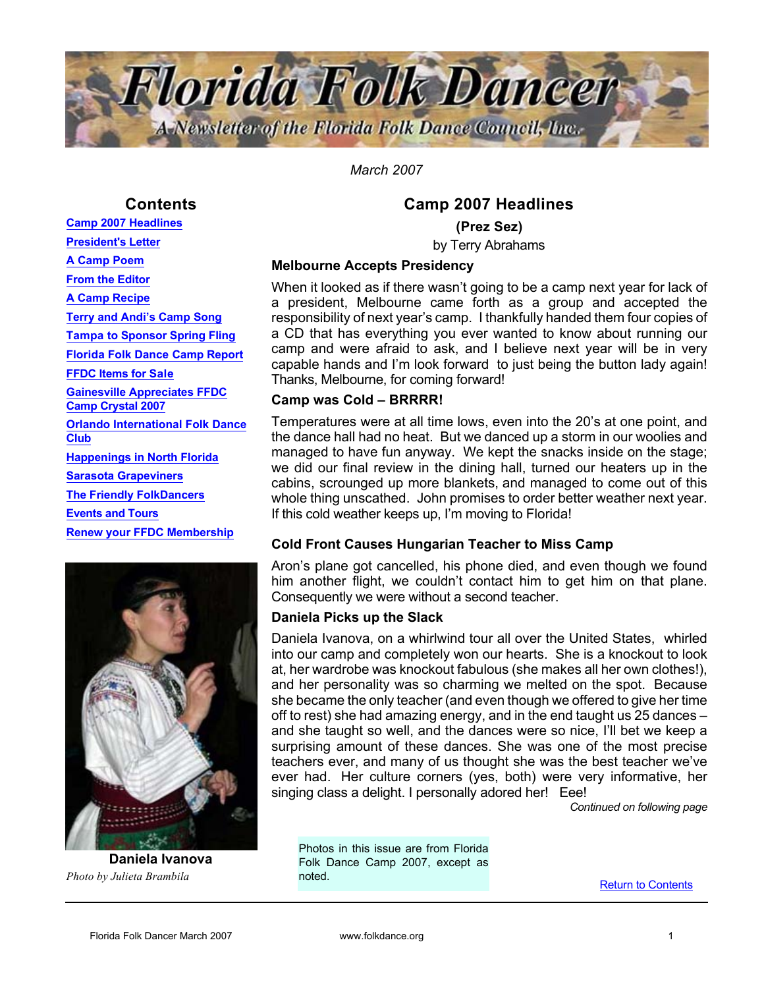

*March 2007*

## **Contents**

Camp 2007 Headlines President's Letter A Camp Poem From the Editor A Camp Recipe Terry and Andi's Camp Song Tampa to Sponsor Spring Fling Florida Folk Dance Camp Report FFDC Items for Sale Gainesville Appreciates FFDC Camp Crystal 2007 Orlando International Folk Dance **Club** Happenings in North Florida Sarasota Grapeviners The Friendly FolkDancers Events and Tours Renew your FFDC Membership



Daniela Ivanova *Photo by Julieta Brambila*

## Camp 2007 Headlines

(Prez Sez)

by Terry Abrahams

#### Melbourne Accepts Presidency

When it looked as if there wasn't going to be a camp next year for lack of a president, Melbourne came forth as a group and accepted the responsibility of next year's camp. I thankfully handed them four copies of a CD that has everything you ever wanted to know about running our camp and were afraid to ask, and I believe next year will be in very capable hands and I'm look forward to just being the button lady again! Thanks, Melbourne, for coming forward!

#### Camp was Cold – BRRRR!

Temperatures were at all time lows, even into the 20's at one point, and the dance hall had no heat. But we danced up a storm in our woolies and managed to have fun anyway. We kept the snacks inside on the stage; we did our final review in the dining hall, turned our heaters up in the cabins, scrounged up more blankets, and managed to come out of this whole thing unscathed. John promises to order better weather next year. If this cold weather keeps up, I'm moving to Florida!

#### Cold Front Causes Hungarian Teacher to Miss Camp

Aron's plane got cancelled, his phone died, and even though we found him another flight, we couldn't contact him to get him on that plane. Consequently we were without a second teacher.

#### Daniela Picks up the Slack

Daniela Ivanova, on a whirlwind tour all over the United States, whirled into our camp and completely won our hearts. She is a knockout to look at, her wardrobe was knockout fabulous (she makes all her own clothes!), and her personality was so charming we melted on the spot. Because she became the only teacher (and even though we offered to give her time off to rest) she had amazing energy, and in the end taught us 25 dances – and she taught so well, and the dances were so nice, I'll bet we keep a surprising amount of these dances. She was one of the most precise teachers ever, and many of us thought she was the best teacher we've ever had. Her culture corners (yes, both) were very informative, her singing class a delight. I personally adored her! Eee!

*Continued on following page*

Photos in this issue are from Florida Folk Dance Camp 2007, except as noted.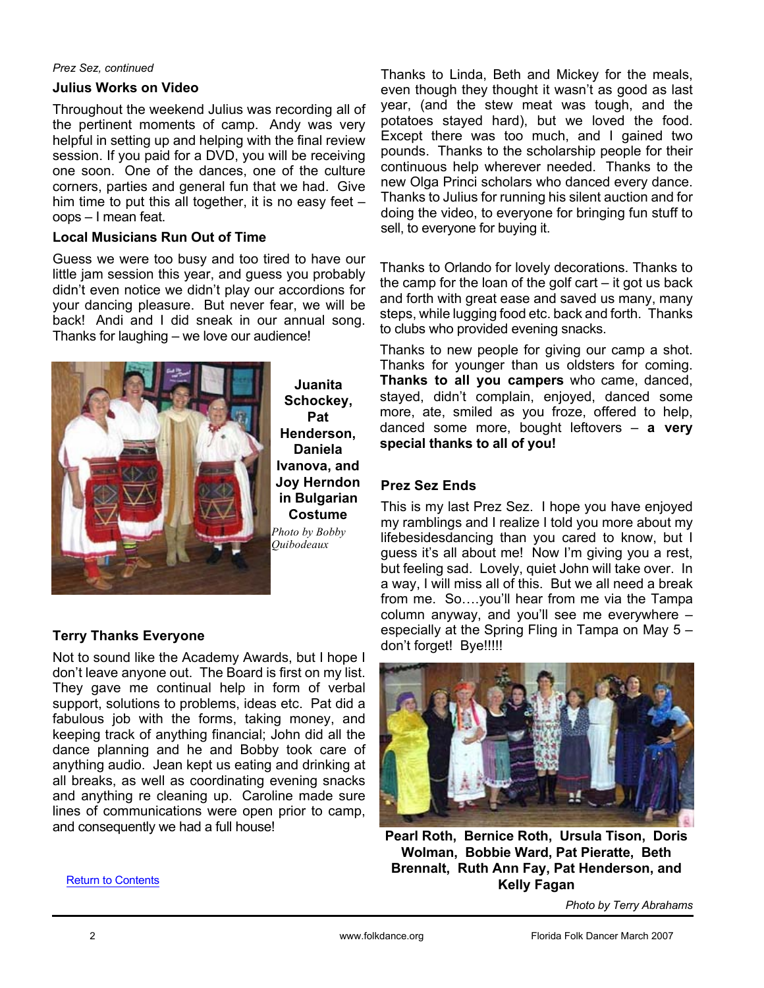#### *Prez Sez, continued*

#### Julius Works on Video

Throughout the weekend Julius was recording all of the pertinent moments of camp. Andy was very helpful in setting up and helping with the final review session. If you paid for a DVD, you will be receiving one soon. One of the dances, one of the culture corners, parties and general fun that we had. Give him time to put this all together, it is no easy feet – oops – I mean feat.

#### Local Musicians Run Out of Time

Guess we were too busy and too tired to have our little jam session this year, and guess you probably didn't even notice we didn't play our accordions for your dancing pleasure. But never fear, we will be back! Andi and I did sneak in our annual song. Thanks for laughing – we love our audience!



Juanita Schockey, Pat Henderson, Daniela Ivanova, and Joy Herndon in Bulgarian Costume *Photo by Bobby*

## Terry Thanks Everyone

Not to sound like the Academy Awards, but I hope I don't leave anyone out. The Board is first on my list. They gave me continual help in form of verbal support, solutions to problems, ideas etc. Pat did a fabulous job with the forms, taking money, and keeping track of anything financial; John did all the dance planning and he and Bobby took care of anything audio. Jean kept us eating and drinking at all breaks, as well as coordinating evening snacks and anything re cleaning up. Caroline made sure lines of communications were open prior to camp, and consequently we had a full house!

Thanks to Linda, Beth and Mickey for the meals, even though they thought it wasn't as good as last year, (and the stew meat was tough, and the potatoes stayed hard), but we loved the food. Except there was too much, and I gained two pounds. Thanks to the scholarship people for their continuous help wherever needed. Thanks to the new Olga Princi scholars who danced every dance. Thanks to Julius for running his silent auction and for doing the video, to everyone for bringing fun stuff to sell, to everyone for buying it.

Thanks to Orlando for lovely decorations. Thanks to the camp for the loan of the golf cart – it got us back and forth with great ease and saved us many, many steps, while lugging food etc. back and forth. Thanks to clubs who provided evening snacks.

Thanks to new people for giving our camp a shot. Thanks for younger than us oldsters for coming. Thanks to all you campers who came, danced, stayed, didn't complain, enjoyed, danced some more, ate, smiled as you froze, offered to help, danced some more, bought leftovers  $-$  a very special thanks to all of you!

## Prez Sez Ends

This is my last Prez Sez. I hope you have enjoyed my ramblings and I realize I told you more about my lifebesidesdancing than you cared to know, but I guess it's all about me! Now I'm giving you a rest, but feeling sad. Lovely, quiet John will take over. In a way, I will miss all of this. But we all need a break from me. So….you'll hear from me via the Tampa column anyway, and you'll see me everywhere – especially at the Spring Fling in Tampa on May 5 – don't forget! Bye!!!!!



Pearl Roth, Bernice Roth, Ursula Tison, Doris Wolman, Bobbie Ward, Pat Pieratte, Beth Brennalt, Ruth Ann Fay, Pat Henderson, and Kelly Fagan

*Photo by Terry Abrahams*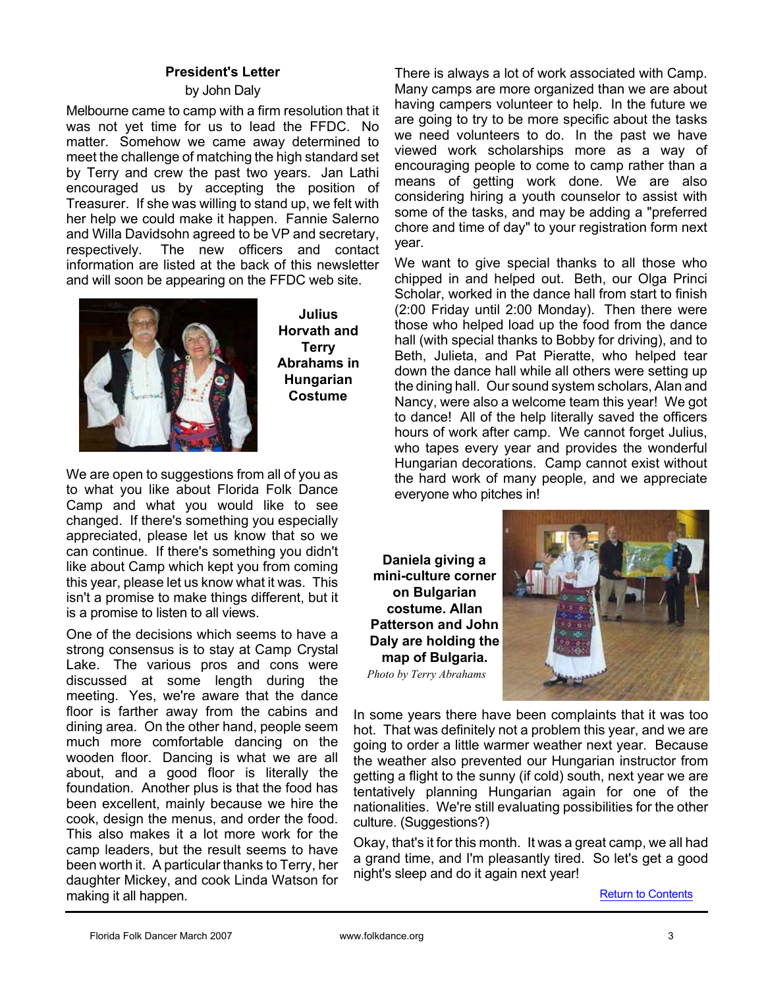#### President's Letter

#### by John Daly

Melbourne came to camp with a firm resolution that it was not yet time for us to lead the FFDC. No matter. Somehow we came away determined to meet the challenge of matching the high standard set by Terry and crew the past two years. Jan Lathi encouraged us by accepting the position of Treasurer. If she was willing to stand up, we felt with her help we could make it happen. Fannie Salerno and Willa Davidsohn agreed to be VP and secretary, respectively. The new officers and contact information are listed at the back of this newsletter and will soon be appearing on the FFDC web site.



Julius Horvath and **Terry** Abrahams in Hungarian Costume

We are open to suggestions from all of you as to what you like about Florida Folk Dance Camp and what you would like to see changed. If there's something you especially appreciated, please let us know that so we can continue. If there's something you didn't like about Camp which kept you from coming this year, please let us know what it was. This isn't a promise to make things different, but it is a promise to listen to all views.

One of the decisions which seems to have a strong consensus is to stay at Camp Crystal Lake. The various pros and cons were discussed at some length during the meeting. Yes, we're aware that the dance floor is farther away from the cabins and dining area. On the other hand, people seem much more comfortable dancing on the wooden floor. Dancing is what we are all about, and a good floor is literally the foundation. Another plus is that the food has been excellent, mainly because we hire the cook, design the menus, and order the food. This also makes it a lot more work for the camp leaders, but the result seems to have been worth it. A particular thanks to Terry, her daughter Mickey, and cook Linda Watson for making it all happen.

There is always a lot of work associated with Camp. Many camps are more organized than we are about having campers volunteer to help. In the future we are going to try to be more specific about the tasks we need volunteers to do. In the past we have viewed work scholarships more as a way of encouraging people to come to camp rather than a means of getting work done. We are also considering hiring a youth counselor to assist with some of the tasks, and may be adding a "preferred chore and time of day" to your registration form next year.

We want to give special thanks to all those who chipped in and helped out. Beth, our Olga Princi Scholar, worked in the dance hall from start to finish (2:00 Friday until 2:00 Monday). Then there were those who helped load up the food from the dance hall (with special thanks to Bobby for driving), and to Beth, Julieta, and Pat Pieratte, who helped tear down the dance hall while all others were setting up the dining hall. Our sound system scholars, Alan and Nancy, were also a welcome team this year! We got to dance! All of the help literally saved the officers hours of work after camp. We cannot forget Julius, who tapes every year and provides the wonderful Hungarian decorations. Camp cannot exist without the hard work of many people, and we appreciate everyone who pitches in!

Daniela giving a mini-culture corner on Bulgarian costume. Allan Patterson and John Daly are holding the map of Bulgaria. *Photo by Terry Abrahams*



In some years there have been complaints that it was too hot. That was definitely not a problem this year, and we are going to order a little warmer weather next year. Because the weather also prevented our Hungarian instructor from getting a flight to the sunny (if cold) south, next year we are tentatively planning Hungarian again for one of the nationalities. We're still evaluating possibilities for the other culture. (Suggestions?)

Okay, that's it for this month. It was a great camp, we all had a grand time, and I'm pleasantly tired. So let's get a good night's sleep and do it again next year!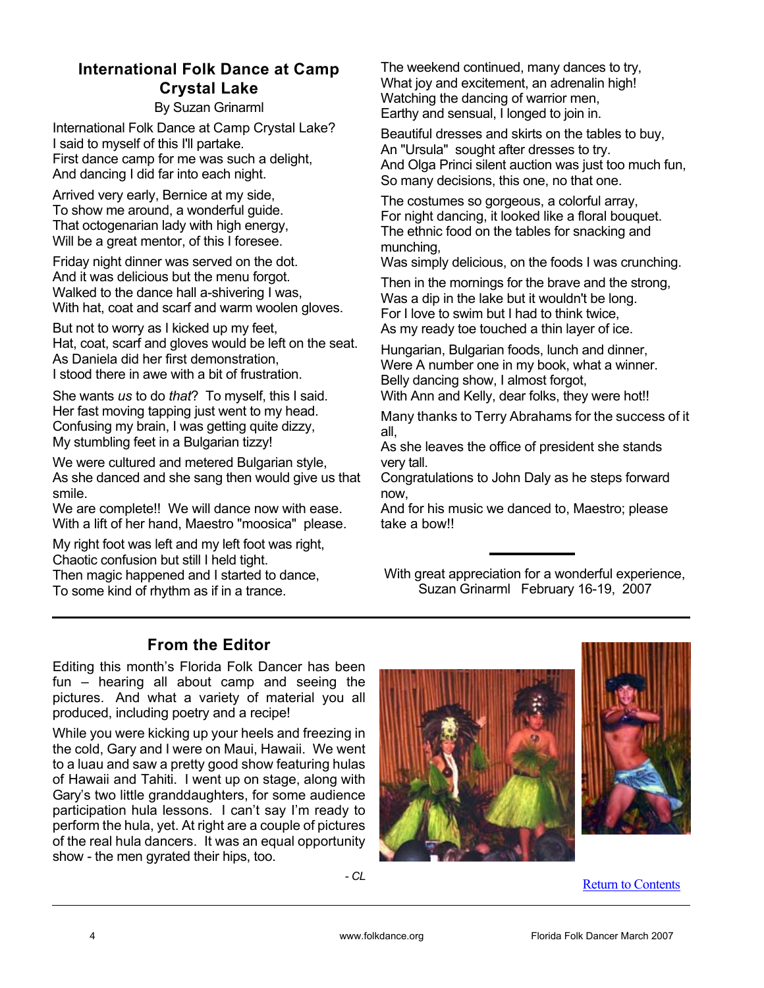# International Folk Dance at Camp Crystal Lake

By Suzan Grinarml

International Folk Dance at Camp Crystal Lake? I said to myself of this I'll partake. First dance camp for me was such a delight, And dancing I did far into each night.

Arrived very early, Bernice at my side, To show me around, a wonderful guide. That octogenarian lady with high energy, Will be a great mentor, of this I foresee.

Friday night dinner was served on the dot. And it was delicious but the menu forgot. Walked to the dance hall a-shivering I was, With hat, coat and scarf and warm woolen gloves.

But not to worry as I kicked up my feet, Hat, coat, scarf and gloves would be left on the seat. As Daniela did her first demonstration, I stood there in awe with a bit of frustration.

She wants *us* to do *that*? To myself, this I said. Her fast moving tapping just went to my head. Confusing my brain, I was getting quite dizzy, My stumbling feet in a Bulgarian tizzy!

We were cultured and metered Bulgarian style, As she danced and she sang then would give us that smile.

We are complete!! We will dance now with ease. With a lift of her hand, Maestro "moosica" please.

My right foot was left and my left foot was right, Chaotic confusion but still I held tight. Then magic happened and I started to dance, To some kind of rhythm as if in a trance.

The weekend continued, many dances to try, What joy and excitement, an adrenalin high! Watching the dancing of warrior men, Earthy and sensual, I longed to join in.

Beautiful dresses and skirts on the tables to buy, An "Ursula" sought after dresses to try. And Olga Princi silent auction was just too much fun, So many decisions, this one, no that one.

The costumes so gorgeous, a colorful array, For night dancing, it looked like a floral bouquet. The ethnic food on the tables for snacking and munching,

Was simply delicious, on the foods I was crunching.

Then in the mornings for the brave and the strong, Was a dip in the lake but it wouldn't be long. For I love to swim but I had to think twice, As my ready toe touched a thin layer of ice.

Hungarian, Bulgarian foods, lunch and dinner, Were A number one in my book, what a winner. Belly dancing show, I almost forgot,

With Ann and Kelly, dear folks, they were hot!!

Many thanks to Terry Abrahams for the success of it all,

As she leaves the office of president she stands very tall.

Congratulations to John Daly as he steps forward now,

And for his music we danced to, Maestro; please take a bow!!

With great appreciation for a wonderful experience, Suzan Grinarml February 16-19, 2007

# From the Editor

Editing this month's Florida Folk Dancer has been fun – hearing all about camp and seeing the pictures. And what a variety of material you all produced, including poetry and a recipe!

While you were kicking up your heels and freezing in the cold, Gary and I were on Maui, Hawaii. We went to a luau and saw a pretty good show featuring hulas of Hawaii and Tahiti. I went up on stage, along with Gary's two little granddaughters, for some audience participation hula lessons. I can't say I'm ready to perform the hula, yet. At right are a couple of pictures of the real hula dancers. It was an equal opportunity show - the men gyrated their hips, too.

*- CL*



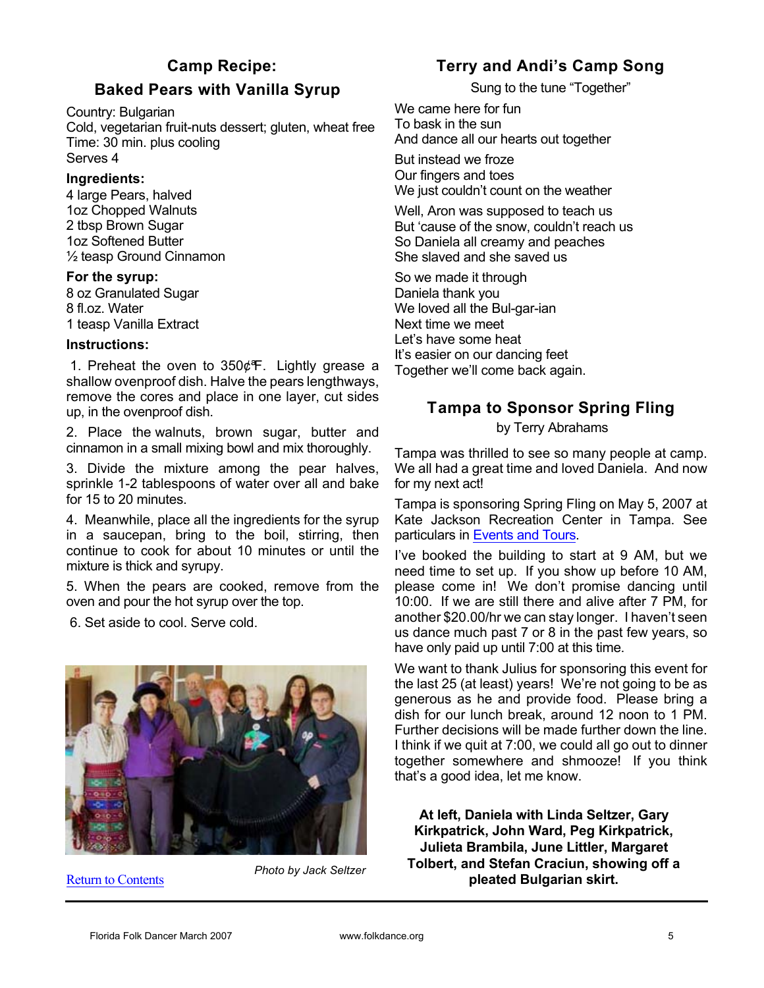# Baked Pears with Vanilla Syrup

Country: Bulgarian

Cold, vegetarian fruit-nuts dessert; gluten, wheat free Time: 30 min. plus cooling Serves 4

#### Ingredients:

4 large Pears, halved 1oz Chopped Walnuts 2 tbsp Brown Sugar 1oz Softened Butter ½ teasp Ground Cinnamon

#### For the syrup:

8 oz Granulated Sugar 8 fl.oz. Water 1 teasp Vanilla Extract

#### Instructions:

1. Preheat the oven to  $350¢$  F. Lightly grease a shallow ovenproof dish. Halve the pears lengthways, remove the cores and place in one layer, cut sides up, in the ovenproof dish.

2. Place the walnuts, brown sugar, butter and cinnamon in a small mixing bowl and mix thoroughly.

3. Divide the mixture among the pear halves, sprinkle 1-2 tablespoons of water over all and bake for 15 to 20 minutes.

4. Meanwhile, place all the ingredients for the syrup in a saucepan, bring to the boil, stirring, then continue to cook for about 10 minutes or until the mixture is thick and syrupy.

5. When the pears are cooked, remove from the oven and pour the hot syrup over the top.

6. Set aside to cool. Serve cold.



Return to Contents

*Photo by Jack Seltzer*

# Terry and Andi's Camp Song

Sung to the tune "Together"

We came here for fun To bask in the sun And dance all our hearts out together

But instead we froze Our fingers and toes We just couldn't count on the weather

Well, Aron was supposed to teach us But 'cause of the snow, couldn't reach us So Daniela all creamy and peaches She slaved and she saved us

So we made it through Daniela thank you We loved all the Bul-gar-ian Next time we meet Let's have some heat It's easier on our dancing feet Together we'll come back again.

# Tampa to Sponsor Spring Fling

by Terry Abrahams

Tampa was thrilled to see so many people at camp. We all had a great time and loved Daniela. And now for my next act!

Tampa is sponsoring Spring Fling on May 5, 2007 at Kate Jackson Recreation Center in Tampa. See particulars in Events and Tours.

I've booked the building to start at 9 AM, but we need time to set up. If you show up before 10 AM, please come in! We don't promise dancing until 10:00. If we are still there and alive after 7 PM, for another \$20.00/hr we can stay longer. I haven't seen us dance much past 7 or 8 in the past few years, so have only paid up until 7:00 at this time.

We want to thank Julius for sponsoring this event for the last 25 (at least) years! We're not going to be as generous as he and provide food. Please bring a dish for our lunch break, around 12 noon to 1 PM. Further decisions will be made further down the line. I think if we quit at 7:00, we could all go out to dinner together somewhere and shmooze! If you think that's a good idea, let me know.

At left, Daniela with Linda Seltzer, Gary Kirkpatrick, John Ward, Peg Kirkpatrick, Julieta Brambila, June Littler, Margaret Tolbert, and Stefan Craciun, showing off a pleated Bulgarian skirt.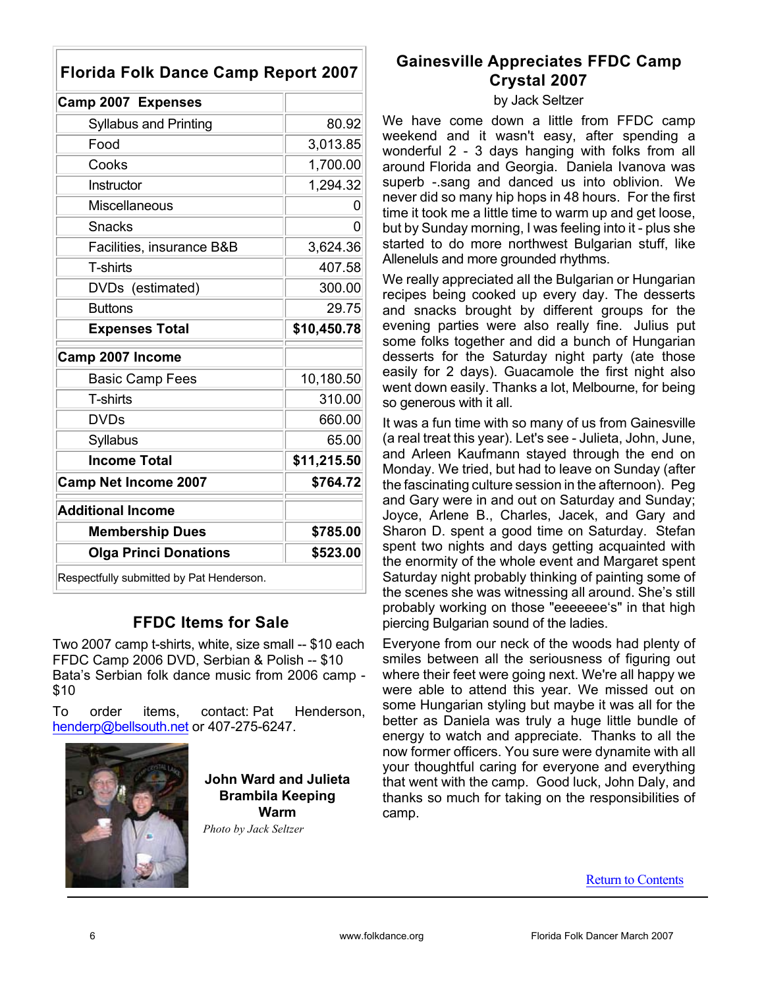| <b>Florida Folk Dance Camp Report 2007</b> |             |  |  |  |  |
|--------------------------------------------|-------------|--|--|--|--|
| Camp 2007 Expenses                         |             |  |  |  |  |
| <b>Syllabus and Printing</b>               | 80.92       |  |  |  |  |
| Food                                       | 3,013.85    |  |  |  |  |
| Cooks                                      | 1,700.00    |  |  |  |  |
| Instructor                                 | 1,294.32    |  |  |  |  |
| <b>Miscellaneous</b>                       | 0           |  |  |  |  |
| <b>Snacks</b>                              | 0           |  |  |  |  |
| Facilities, insurance B&B                  | 3,624.36    |  |  |  |  |
| T-shirts                                   | 407.58      |  |  |  |  |
| DVDs (estimated)                           | 300.00      |  |  |  |  |
| <b>Buttons</b>                             | 29.75       |  |  |  |  |
| <b>Expenses Total</b>                      | \$10,450.78 |  |  |  |  |
| Camp 2007 Income                           |             |  |  |  |  |
| <b>Basic Camp Fees</b>                     | 10,180.50   |  |  |  |  |
|                                            |             |  |  |  |  |
| T-shirts                                   | 310.00      |  |  |  |  |
| <b>DVDs</b>                                | 660.00      |  |  |  |  |
| Syllabus                                   | 65.00       |  |  |  |  |
| <b>Income Total</b>                        | \$11,215.50 |  |  |  |  |
| <b>Camp Net Income 2007</b>                | \$764.72    |  |  |  |  |
| <b>Additional Income</b>                   |             |  |  |  |  |
| <b>Membership Dues</b>                     | \$785.00    |  |  |  |  |
| <b>Olga Princi Donations</b>               | \$523.00    |  |  |  |  |

# FFDC Items for Sale

Two 2007 camp t-shirts, white, size small -- \$10 each FFDC Camp 2006 DVD, Serbian & Polish -- \$10 Bata's Serbian folk dance music from 2006 camp - \$10

To order items, contact: Pat Henderson, henderp@bellsouth.net or 407-275-6247.



John Ward and Julieta Brambila Keeping Warm

*Photo by Jack Seltzer*

# Gainesville Appreciates FFDC Camp Crystal 2007

#### by Jack Seltzer

We have come down a little from FFDC camp weekend and it wasn't easy, after spending a wonderful 2 - 3 days hanging with folks from all around Florida and Georgia. Daniela Ivanova was superb -.sang and danced us into oblivion. We never did so many hip hops in 48 hours. For the first time it took me a little time to warm up and get loose, but by Sunday morning, I was feeling into it - plus she started to do more northwest Bulgarian stuff, like Alleneluls and more grounded rhythms.

We really appreciated all the Bulgarian or Hungarian recipes being cooked up every day. The desserts and snacks brought by different groups for the evening parties were also really fine. Julius put some folks together and did a bunch of Hungarian desserts for the Saturday night party (ate those easily for 2 days). Guacamole the first night also went down easily. Thanks a lot, Melbourne, for being so generous with it all.

It was a fun time with so many of us from Gainesville (a real treat this year). Let's see - Julieta, John, June, and Arleen Kaufmann stayed through the end on Monday. We tried, but had to leave on Sunday (after the fascinating culture session in the afternoon). Peg and Gary were in and out on Saturday and Sunday; Joyce, Arlene B., Charles, Jacek, and Gary and Sharon D. spent a good time on Saturday. Stefan spent two nights and days getting acquainted with the enormity of the whole event and Margaret spent Saturday night probably thinking of painting some of the scenes she was witnessing all around. She's still probably working on those "eeeeeee's" in that high piercing Bulgarian sound of the ladies.

Everyone from our neck of the woods had plenty of smiles between all the seriousness of figuring out where their feet were going next. We're all happy we were able to attend this year. We missed out on some Hungarian styling but maybe it was all for the better as Daniela was truly a huge little bundle of energy to watch and appreciate. Thanks to all the now former officers. You sure were dynamite with all your thoughtful caring for everyone and everything that went with the camp. Good luck, John Daly, and thanks so much for taking on the responsibilities of camp.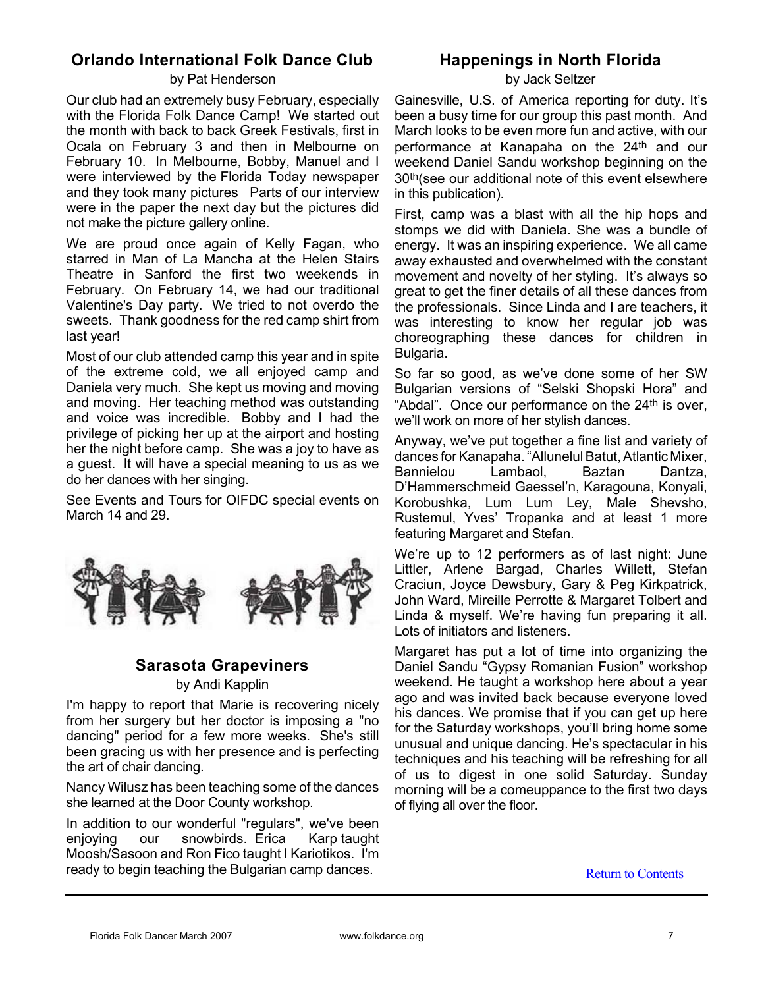# Orlando International Folk Dance Club

#### by Pat Henderson

Our club had an extremely busy February, especially with the Florida Folk Dance Camp! We started out the month with back to back Greek Festivals, first in Ocala on February 3 and then in Melbourne on February 10. In Melbourne, Bobby, Manuel and I were interviewed by the Florida Today newspaper and they took many pictures Parts of our interview were in the paper the next day but the pictures did not make the picture gallery online.

We are proud once again of Kelly Fagan, who starred in Man of La Mancha at the Helen Stairs Theatre in Sanford the first two weekends in February. On February 14, we had our traditional Valentine's Day party. We tried to not overdo the sweets. Thank goodness for the red camp shirt from last year!

Most of our club attended camp this year and in spite of the extreme cold, we all enjoyed camp and Daniela very much. She kept us moving and moving and moving. Her teaching method was outstanding and voice was incredible. Bobby and I had the privilege of picking her up at the airport and hosting her the night before camp. She was a joy to have as a guest. It will have a special meaning to us as we do her dances with her singing.

See Events and Tours for OIFDC special events on March 14 and 29.



# Sarasota Grapeviners

#### by Andi Kapplin

I'm happy to report that Marie is recovering nicely from her surgery but her doctor is imposing a "no dancing" period for a few more weeks. She's still been gracing us with her presence and is perfecting the art of chair dancing.

Nancy Wilusz has been teaching some of the dances she learned at the Door County workshop.

In addition to our wonderful "regulars", we've been<br>enjoving our snowbirds. Erica Karp taught enjoying our snowbirds. Erica Moosh/Sasoon and Ron Fico taught I Kariotikos. I'm ready to begin teaching the Bulgarian camp dances.

# Happenings in North Florida

by Jack Seltzer

Gainesville, U.S. of America reporting for duty. It's been a busy time for our group this past month. And March looks to be even more fun and active, with our performance at Kanapaha on the 24<sup>th</sup> and our weekend Daniel Sandu workshop beginning on the 30th(see our additional note of this event elsewhere in this publication).

First, camp was a blast with all the hip hops and stomps we did with Daniela. She was a bundle of energy. It was an inspiring experience. We all came away exhausted and overwhelmed with the constant movement and novelty of her styling. It's always so great to get the finer details of all these dances from the professionals. Since Linda and I are teachers, it was interesting to know her regular job was choreographing these dances for children in Bulgaria.

So far so good, as we've done some of her SW Bulgarian versions of "Selski Shopski Hora" and "Abdal". Once our performance on the 24<sup>th</sup> is over, we'll work on more of her stylish dances.

Anyway, we've put together a fine list and variety of dances for Kanapaha. "Allunelul Batut, Atlantic Mixer, Bannielou Lambaol, Baztan Dantza, D'Hammerschmeid Gaessel'n, Karagouna, Konyali, Korobushka, Lum Lum Ley, Male Shevsho, Rustemul, Yves' Tropanka and at least 1 more featuring Margaret and Stefan.

We're up to 12 performers as of last night: June Littler, Arlene Bargad, Charles Willett, Stefan Craciun, Joyce Dewsbury, Gary & Peg Kirkpatrick, John Ward, Mireille Perrotte & Margaret Tolbert and Linda & myself. We're having fun preparing it all. Lots of initiators and listeners.

Margaret has put a lot of time into organizing the Daniel Sandu "Gypsy Romanian Fusion" workshop weekend. He taught a workshop here about a year ago and was invited back because everyone loved his dances. We promise that if you can get up here for the Saturday workshops, you'll bring home some unusual and unique dancing. He's spectacular in his techniques and his teaching will be refreshing for all of us to digest in one solid Saturday. Sunday morning will be a comeuppance to the first two days of flying all over the floor.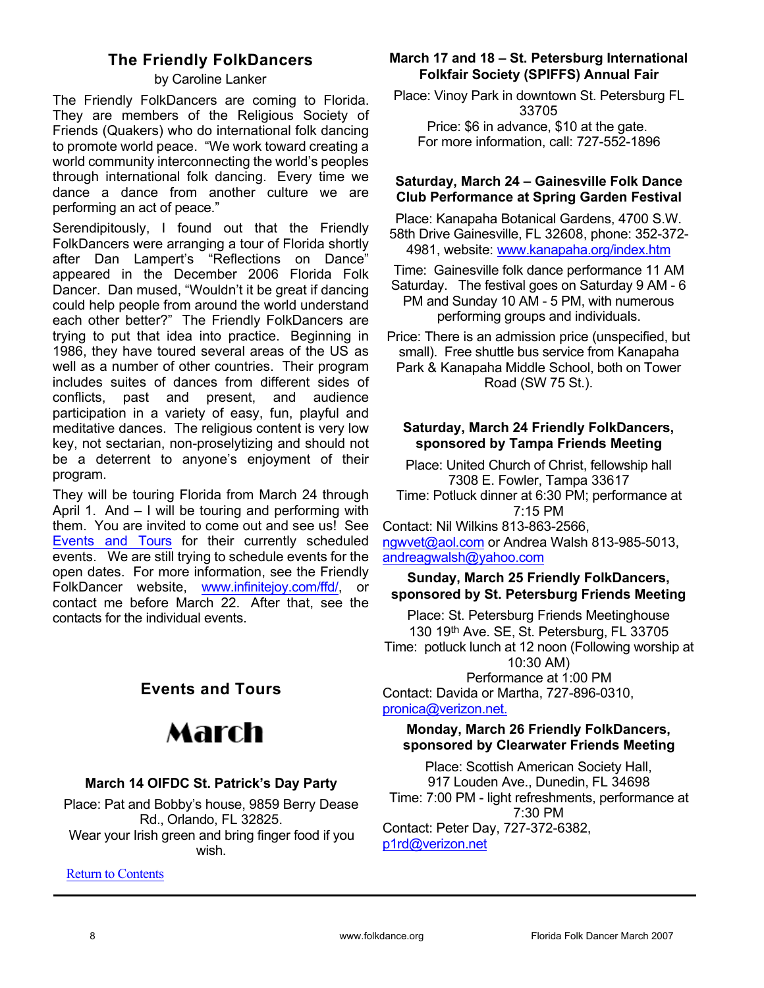# The Friendly FolkDancers

by Caroline Lanker

The Friendly FolkDancers are coming to Florida. They are members of the Religious Society of Friends (Quakers) who do international folk dancing to promote world peace. "We work toward creating a world community interconnecting the world's peoples through international folk dancing. Every time we dance a dance from another culture we are performing an act of peace."

Serendipitously, I found out that the Friendly FolkDancers were arranging a tour of Florida shortly after Dan Lampert's "Reflections on Dance" appeared in the December 2006 Florida Folk Dancer. Dan mused, "Wouldn't it be great if dancing could help people from around the world understand each other better?" The Friendly FolkDancers are trying to put that idea into practice. Beginning in 1986, they have toured several areas of the US as well as a number of other countries. Their program includes suites of dances from different sides of conflicts, past and present, and audience participation in a variety of easy, fun, playful and meditative dances. The religious content is very low key, not sectarian, non-proselytizing and should not be a deterrent to anyone's enjoyment of their program.

They will be touring Florida from March 24 through April 1. And – I will be touring and performing with them. You are invited to come out and see us! See Events and Tours for their currently scheduled events. We are still trying to schedule events for the open dates. For more information, see the Friendly FolkDancer website, www.infinitejoy.com/ffd/, or contact me before March 22. After that, see the contacts for the individual events.

# Events and Tours

# March

## March 14 OIFDC St. Patrick's Day Party

Place: Pat and Bobby's house, 9859 Berry Dease Rd., Orlando, FL 32825. Wear your Irish green and bring finger food if you wish.

Return to Contents

# March 17 and 18 – St. Petersburg International Folkfair Society (SPIFFS) Annual Fair

Place: Vinoy Park in downtown St. Petersburg FL 33705 Price: \$6 in advance, \$10 at the gate. For more information, call: 727-552-1896

### Saturday, March 24 – Gainesville Folk Dance Club Performance at Spring Garden Festival

Place: Kanapaha Botanical Gardens, 4700 S.W. 58th Drive Gainesville, FL 32608, phone: 352-372- 4981, website: www.kanapaha.org/index.htm

Time: Gainesville folk dance performance 11 AM Saturday. The festival goes on Saturday 9 AM - 6 PM and Sunday 10 AM - 5 PM, with numerous performing groups and individuals.

Price: There is an admission price (unspecified, but small). Free shuttle bus service from Kanapaha Park & Kanapaha Middle School, both on Tower Road (SW 75 St.).

#### Saturday, March 24 Friendly FolkDancers, sponsored by Tampa Friends Meeting

Place: United Church of Christ, fellowship hall 7308 E. Fowler, Tampa 33617 Time: Potluck dinner at 6:30 PM; performance at 7:15 PM

Contact: Nil Wilkins 813-863-2566, ngwvet@aol.com or Andrea Walsh 813-985-5013, andreagwalsh@yahoo.com

## Sunday, March 25 Friendly FolkDancers, sponsored by St. Petersburg Friends Meeting

Place: St. Petersburg Friends Meetinghouse 130 19th Ave. SE, St. Petersburg, FL 33705 Time: potluck lunch at 12 noon (Following worship at 10:30 AM)

Performance at 1:00 PM Contact: Davida or Martha, 727-896-0310, pronica@verizon.net.

### Monday, March 26 Friendly FolkDancers, sponsored by Clearwater Friends Meeting

Place: Scottish American Society Hall, 917 Louden Ave., Dunedin, FL 34698 Time: 7:00 PM - light refreshments, performance at 7:30 PM Contact: Peter Day, 727-372-6382, p1rd@verizon.net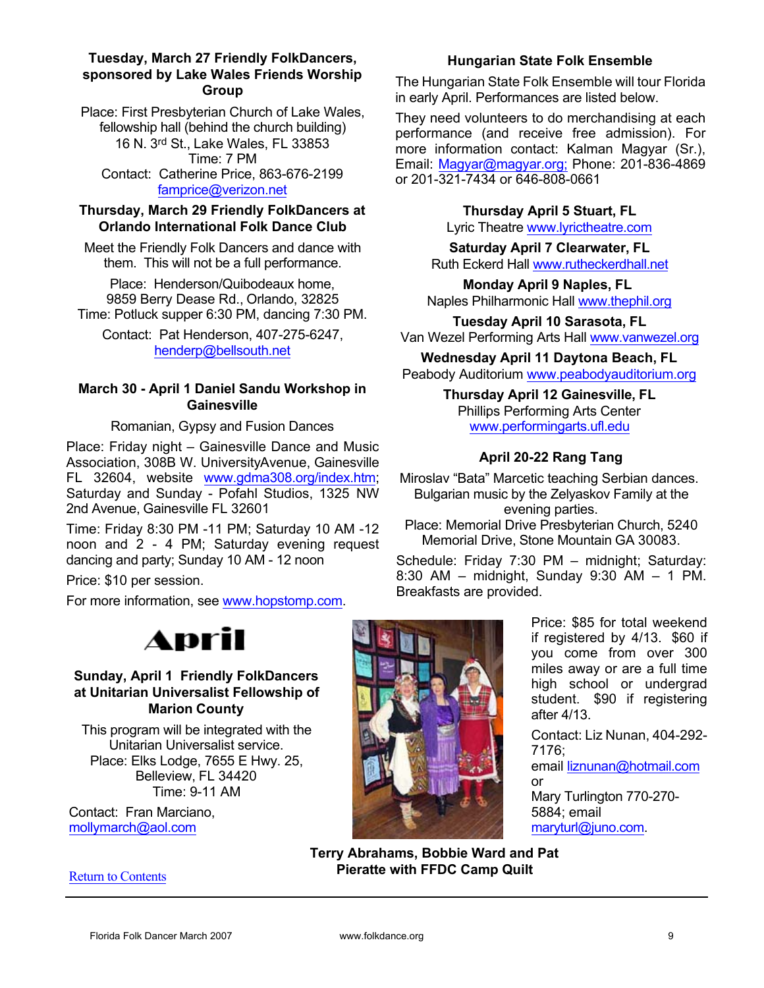#### Tuesday, March 27 Friendly FolkDancers, sponsored by Lake Wales Friends Worship **Group**

Place: First Presbyterian Church of Lake Wales, fellowship hall (behind the church building) 16 N. 3rd St., Lake Wales, FL 33853 Time: 7 PM Contact: Catherine Price, 863-676-2199 famprice@verizon.net

## Thursday, March 29 Friendly FolkDancers at Orlando International Folk Dance Club

Meet the Friendly Folk Dancers and dance with them. This will not be a full performance.

Place: Henderson/Quibodeaux home, 9859 Berry Dease Rd., Orlando, 32825 Time: Potluck supper 6:30 PM, dancing 7:30 PM.

Contact: Pat Henderson, 407-275-6247, henderp@bellsouth.net

## March 30 - April 1 Daniel Sandu Workshop in **Gainesville**

Romanian, Gypsy and Fusion Dances

Place: Friday night – Gainesville Dance and Music Association, 308B W. University Avenue, Gainesville FL 32604, website www.gdma308.org/index.htm; Saturday and Sunday - Pofahl Studios, 1325 NW 2nd Avenue, Gainesville FL 32601

Time: Friday 8:30 PM -11 PM; Saturday 10 AM -12 noon and 2 - 4 PM; Saturday evening request dancing and party; Sunday 10 AM - 12 noon

Price: \$10 per session.

For more information, see www.hopstomp.com.

# Hungarian State Folk Ensemble

The Hungarian State Folk Ensemble will tour Florida in early April. Performances are listed below.

They need volunteers to do merchandising at each performance (and receive free admission). For more information contact: Kalman Magyar (Sr.), Email: Magyar@magyar.org; Phone: 201-836-4869 or 201-321-7434 or 646-808-0661

## Thursday April 5 Stuart, FL

Lyric Theatre www.lyrictheatre.com

Saturday April 7 Clearwater, FL Ruth Eckerd Hall www.rutheckerdhall.net

Monday April 9 Naples, FL Naples Philharmonic Hall www.thephil.org

Tuesday April 10 Sarasota, FL Van Wezel Performing Arts Hall www.vanwezel.org

Wednesday April 11 Daytona Beach, FL Peabody Auditorium www.peabodyauditorium.org

> Thursday April 12 Gainesville, FL Phillips Performing Arts Center www.performingarts.ufl.edu

# April 20-22 Rang Tang

Miroslav "Bata" Marcetic teaching Serbian dances. Bulgarian music by the Zelyaskov Family at the evening parties.

Place: Memorial Drive Presbyterian Church, 5240 Memorial Drive, Stone Mountain GA 30083.

Schedule: Friday 7:30 PM – midnight; Saturday: 8:30 AM – midnight, Sunday 9:30 AM – 1 PM. Breakfasts are provided.

# April

## Sunday, April 1 Friendly FolkDancers at Unitarian Universalist Fellowship of Marion County

This program will be integrated with the Unitarian Universalist service. Place: Elks Lodge, 7655 E Hwy. 25, Belleview, FL 34420 Time: 9-11 AM

Contact: Fran Marciano, mollymarch@aol.com

Return to Contents



Price: \$85 for total weekend if registered by 4/13. \$60 if you come from over 300 miles away or are a full time high school or undergrad student. \$90 if registering after 4/13.

Contact: Liz Nunan, 404-292- 7176;

email liznunan@hotmail.com or

Mary Turlington 770-270- 5884; email maryturl@juno.com.

Terry Abrahams, Bobbie Ward and Pat Pieratte with FFDC Camp Quilt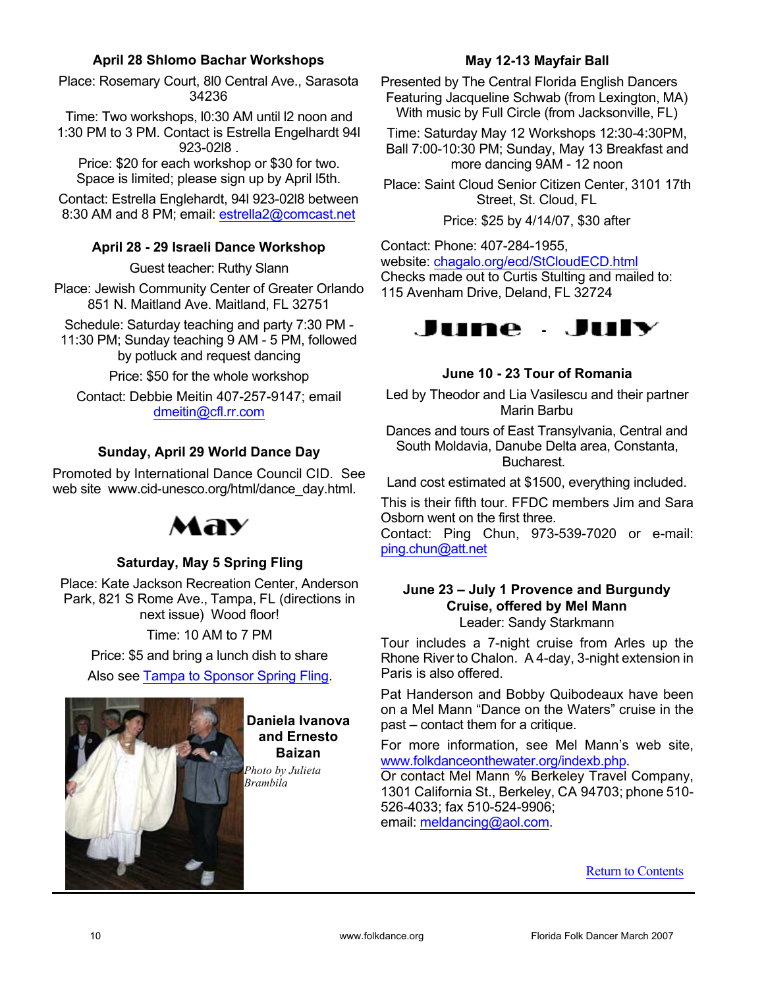## April 28 Shlomo Bachar Workshops

Place: Rosemary Court, 8l0 Central Ave., Sarasota 34236

Time: Two workshops, l0:30 AM until l2 noon and 1:30 PM to 3 PM. Contact is Estrella Engelhardt 94l 923-02l8 .

Price: \$20 for each workshop or \$30 for two. Space is limited; please sign up by April l5th.

Contact: Estrella Englehardt, 94l 923-02l8 between 8:30 AM and 8 PM; email: estrella2@comcast.net

# April 28 - 29 Israeli Dance Workshop

Guest teacher: Ruthy Slann

Place: Jewish Community Center of Greater Orlando 851 N. Maitland Ave. Maitland, FL 32751

Schedule: Saturday teaching and party 7:30 PM - 11:30 PM; Sunday teaching 9 AM - 5 PM, followed by potluck and request dancing

Price: \$50 for the whole workshop

Contact: Debbie Meitin 407-257-9147; email dmeitin@cfl.rr.com

# Sunday, April 29 World Dance Day

Promoted by International Dance Council CID. See web site www.cid-unesco.org/html/dance\_day.html.



# Saturday, May 5 Spring Fling

Place: Kate Jackson Recreation Center, Anderson Park, 821 S Rome Ave., Tampa, FL (directions in next issue) Wood floor!

Time: 10 AM to 7 PM

Price: \$5 and bring a lunch dish to share

Also see Tampa to Sponsor Spring Fling.



#### Daniela Ivanova and Ernesto Baizan

*Photo by Julieta Brambila*

## May 12-13 Mayfair Ball

Presented by The Central Florida English Dancers Featuring Jacqueline Schwab (from Lexington, MA) With music by Full Circle (from Jacksonville, FL)

Time: Saturday May 12 Workshops 12:30-4:30PM, Ball 7:00-10:30 PM; Sunday, May 13 Breakfast and more dancing 9AM - 12 noon

Place: Saint Cloud Senior Citizen Center, 3101 17th Street, St. Cloud, FL

Price: \$25 by 4/14/07, \$30 after

Contact: Phone: 407-284-1955, website: chagalo.org/ecd/StCloudECD.html Checks made out to Curtis Stulting and mailed to: 115 Avenham Drive, Deland, FL 32724



|  |  |  |  |  | June 10 - 23 Tour of Romania |
|--|--|--|--|--|------------------------------|
|--|--|--|--|--|------------------------------|

Led by Theodor and Lia Vasilescu and their partner Marin Barbu

Dances and tours of East Transylvania, Central and South Moldavia, Danube Delta area, Constanta, Bucharest.

Land cost estimated at \$1500, everything included.

This is their fifth tour. FFDC members Jim and Sara Osborn went on the first three.

Contact: Ping Chun, 973-539-7020 or e-mail: ping.chun@att.net

# June 23 – July 1 Provence and Burgundy Cruise, offered by Mel Mann

Leader: Sandy Starkmann

Tour includes a 7-night cruise from Arles up the Rhone River to Chalon. A 4-day, 3-night extension in Paris is also offered.

Pat Handerson and Bobby Quibodeaux have been on a Mel Mann "Dance on the Waters" cruise in the past – contact them for a critique.

For more information, see Mel Mann's web site, www.folkdanceonthewater.org/indexb.php.

Or contact Mel Mann % Berkeley Travel Company, 1301 California St., Berkeley, CA 94703; phone 510- 526-4033; fax 510-524-9906; email: meldancing@aol.com.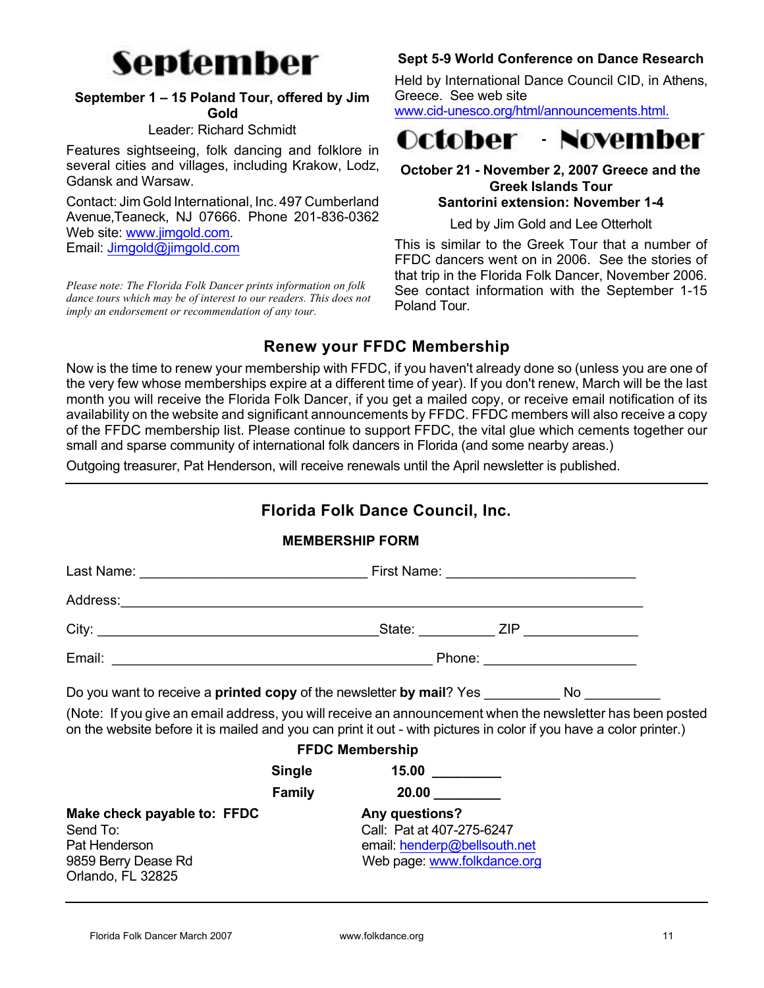

## September 1 – 15 Poland Tour, offered by Jim Gold

#### Leader: Richard Schmidt

Features sightseeing, folk dancing and folklore in several cities and villages, including Krakow, Lodz, Gdansk and Warsaw.

Contact: Jim Gold International, Inc. 497 Cumberland Avenue,Teaneck, NJ 07666. Phone 201-836-0362 Web site: www.jimgold.com. Email: Jimgold@jimgold.com

*Please note: The Florida Folk Dancer prints information on folk dance tours which may be of interest to our readers. This does not imply an endorsement or recommendation of any tour.*

# Sept 5-9 World Conference on Dance Research

Held by International Dance Council CID, in Athens, Greece. See web site

www.cid-unesco.org/html/announcements.html.



#### October 21 - November 2, 2007 Greece and the Greek Islands Tour Santorini extension: November 1-4

Led by Jim Gold and Lee Otterholt

This is similar to the Greek Tour that a number of FFDC dancers went on in 2006. See the stories of that trip in the Florida Folk Dancer, November 2006. See contact information with the September 1-15 Poland Tour.

# Renew your FFDC Membership

Now is the time to renew your membership with FFDC, if you haven't already done so (unless you are one of the very few whose memberships expire at a different time of year). If you don't renew, March will be the last month you will receive the Florida Folk Dancer, if you get a mailed copy, or receive email notification of its availability on the website and significant announcements by FFDC. FFDC members will also receive a copy of the FFDC membership list. Please continue to support FFDC, the vital glue which cements together our small and sparse community of international folk dancers in Florida (and some nearby areas.)

Outgoing treasurer, Pat Henderson, will receive renewals until the April newsletter is published.

# Florida Folk Dance Council, Inc.

|                                                                                                                                                                                                                                 |                         | <b>MEMBERSHIP FORM</b>                                                             |  |  |  |
|---------------------------------------------------------------------------------------------------------------------------------------------------------------------------------------------------------------------------------|-------------------------|------------------------------------------------------------------------------------|--|--|--|
|                                                                                                                                                                                                                                 |                         |                                                                                    |  |  |  |
| Address: Address:                                                                                                                                                                                                               |                         |                                                                                    |  |  |  |
|                                                                                                                                                                                                                                 |                         |                                                                                    |  |  |  |
|                                                                                                                                                                                                                                 |                         |                                                                                    |  |  |  |
| Do you want to receive a <b>printed copy</b> of the newsletter <b>by mail</b> ? Yes No                                                                                                                                          |                         |                                                                                    |  |  |  |
| (Note: If you give an email address, you will receive an announcement when the newsletter has been posted<br>on the website before it is mailed and you can print it out - with pictures in color if you have a color printer.) |                         |                                                                                    |  |  |  |
|                                                                                                                                                                                                                                 |                         | <b>FFDC Membership</b>                                                             |  |  |  |
|                                                                                                                                                                                                                                 |                         | Single 15.00 15.00                                                                 |  |  |  |
|                                                                                                                                                                                                                                 | <b>Family Example 1</b> |                                                                                    |  |  |  |
| Make check payable to: FFDC<br>Send To:<br>Pat Henderson                                                                                                                                                                        |                         | <b>Any questions?</b><br>Call: Pat at 407-275-6247<br>email: henderp@bellsouth.net |  |  |  |
| 9859 Berry Dease Rd                                                                                                                                                                                                             |                         | Web page: www.folkdance.org                                                        |  |  |  |

Florida Folk Dancer March 2007 www.folkdance.org 11

Orlando, FL 32825